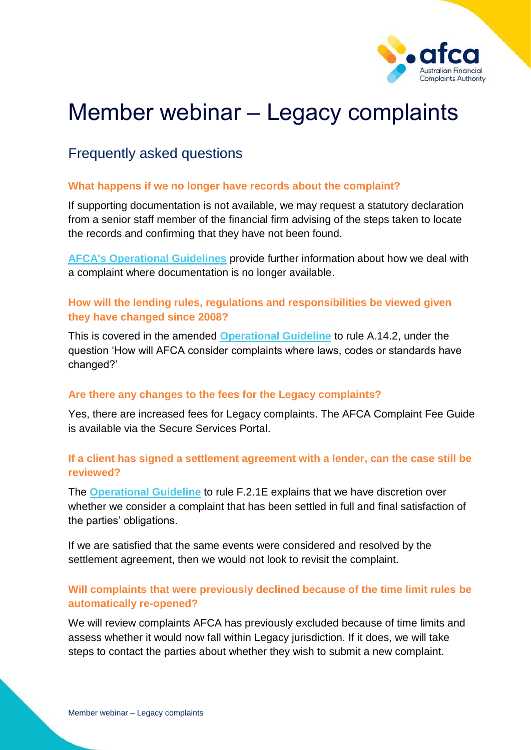

# Member webinar – Legacy complaints

# Frequently asked questions

#### **What happens if we no longer have records about the complaint?**

If supporting documentation is not available, we may request a statutory declaration from a senior staff member of the financial firm advising of the steps taken to locate the records and confirming that they have not been found.

**[AFCA's Operational Guidelines](https://www.afca.org.au/about-afca/rules-and-guidelines/afcas-operational-guidelines/)** provide further information about how we deal with a complaint where documentation is no longer available.

## **How will the lending rules, regulations and responsibilities be viewed given they have changed since 2008?**

This is covered in the amended **[Operational Guideline](https://www.afca.org.au/about-afca/rules-and-guidelines/afcas-operational-guidelines/)** to rule A.14.2, under the question 'How will AFCA consider complaints where laws, codes or standards have changed?'

#### **Are there any changes to the fees for the Legacy complaints?**

Yes, there are increased fees for Legacy complaints. The AFCA Complaint Fee Guide is available via the Secure Services Portal.

## **If a client has signed a settlement agreement with a lender, can the case still be reviewed?**

The **[Operational Guideline](https://www.afca.org.au/about-afca/rules-and-guidelines/afcas-operational-guidelines/)** to rule F.2.1E explains that we have discretion over whether we consider a complaint that has been settled in full and final satisfaction of the parties' obligations.

If we are satisfied that the same events were considered and resolved by the settlement agreement, then we would not look to revisit the complaint.

# **Will complaints that were previously declined because of the time limit rules be automatically re-opened?**

We will review complaints AFCA has previously excluded because of time limits and assess whether it would now fall within Legacy jurisdiction. If it does, we will take steps to contact the parties about whether they wish to submit a new complaint.